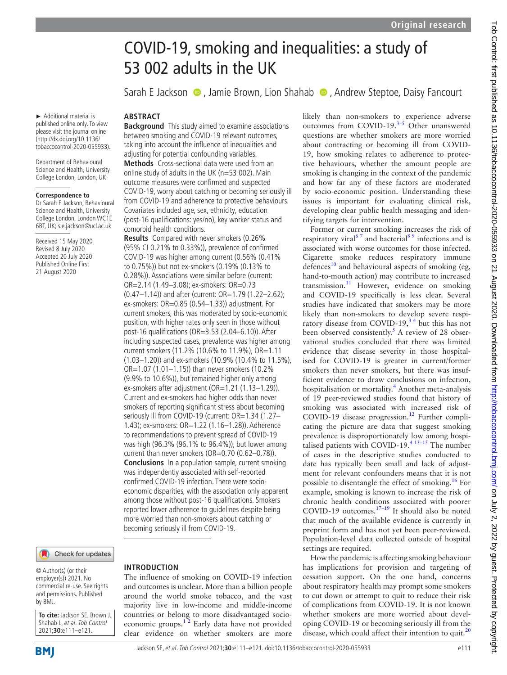# COVID-19, smoking and inequalities: a study of 53 002 adults in the UK

SarahE Jackson  $\bullet$ , Jamie Brown, Lion Shahab  $\bullet$ , Andrew Steptoe, Daisy Fancourt

► Additional material is published online only. To view please visit the journal online (http://dx.doi.org/10.1136/ tobaccocontrol-2020-055933). **ABSTRACT**

comorbid health conditions.

**Results** Compared with never smokers (0.26% (95% CI 0.21% to 0.33%)), prevalence of confirmed COVID-19 was higher among current (0.56% (0.41% to 0.75%)) but not ex-smokers (0.19% (0.13% to 0.28%)). Associations were similar before (current: OR=2.14 (1.49–3.08); ex-smokers: OR=0.73

(0.47–1.14)) and after (current: OR=1.79 (1.22–2.62); ex-smokers: OR=0.85 (0.54–1.33)) adjustment. For current smokers, this was moderated by socio-economic position, with higher rates only seen in those without post-16 qualifications (OR=3.53 (2.04–6.10)). After including suspected cases, prevalence was higher among current smokers (11.2% (10.6% to 11.9%), OR=1.11 (1.03–1.20)) and ex-smokers (10.9% (10.4% to 11.5%), OR=1.07 (1.01–1.15)) than never smokers (10.2% (9.9% to 10.6%)), but remained higher only among ex-smokers after adjustment (OR=1.21 (1.13-1.29)). Current and ex-smokers had higher odds than never smokers of reporting significant stress about becoming seriously ill from COVID-19 (current: OR=1.34 (1.27– 1.43); ex-smokers: OR=1.22 (1.16–1.28)). Adherence to recommendations to prevent spread of COVID-19 was high (96.3% (96.1% to 96.4%)), but lower among current than never smokers (OR=0.70 (0.62-0.78)). **Conclusions** In a population sample, current smoking was independently associated with self-reported confirmed COVID-19 infection. There were socioeconomic disparities, with the association only apparent among those without post-16 qualifications. Smokers reported lower adherence to guidelines despite being more worried than non-smokers about catching or

**Background** This study aimed to examine associations between smoking and COVID-19 relevant outcomes, taking into account the influence of inequalities and adjusting for potential confounding variables. **Methods** Cross-sectional data were used from an online study of adults in the UK (n=53 002). Main outcome measures were confirmed and suspected COVID-19, worry about catching or becoming seriously ill from COVID-19 and adherence to protective behaviours. Covariates included age, sex, ethnicity, education (post-16 qualifications: yes/no), key worker status and

Department of Behavioural Science and Health, University College London, London, UK

#### **Correspondence to**

Dr Sarah E Jackson, Behavioural Science and Health, University College London, London WC1E 6BT, UK; s.e.jackson@ucl.ac.uk

Received 15 May 2020 Revised 8 July 2020 Accepted 20 July 2020 Published Online First 21 August 2020

## Check for updates

© Author(s) (or their employer(s)) 2021. No commercial re-use. See rights and permissions. Published by BMJ.

**To cite:** Jackson SE, Brown J, Shahab L, et al. Tob Control 2021;**30**:e111–e121.

#### **INTRODUCTION**

becoming seriously ill from COVID-19.

The influence of smoking on COVID-19 infection and outcomes is unclear. More than a billion people around the world smoke tobacco, and the vast majority live in low-income and middle-income countries or belong to more disadvantaged socioeconomic groups. $1<sup>2</sup>$  Early data have not provided clear evidence on whether smokers are more

likely than non-smokers to experience adverse outcomes from COVID-19. $3-5$  Other unanswered questions are whether smokers are more worried about contracting or becoming ill from COVID-19, how smoking relates to adherence to protective behaviours, whether the amount people are smoking is changing in the context of the pandemic and how far any of these factors are moderated by socio-economic position. Understanding these issues is important for evaluating clinical risk, developing clear public health messaging and identifying targets for intervention.

Former or current smoking increases the risk of respiratory viral<sup>67</sup> and bacterial<sup>89</sup> infections and is associated with worse outcomes for those infected. Cigarette smoke reduces respiratory immune defences<sup>[10](#page-9-4)</sup> and behavioural aspects of smoking (eg, hand-to-mouth action) may contribute to increased transmission.<sup>11</sup> However, evidence on smoking and COVID-19 specifically is less clear. Several studies have indicated that smokers may be more likely than non-smokers to develop severe respiratory disease from COVID-19, $34 \text{ but this has not}$ been observed consistently.<sup>5</sup> A review of 28 observational studies concluded that there was limited evidence that disease severity in those hospitalised for COVID-19 is greater in current/former smokers than never smokers, but there was insufficient evidence to draw conclusions on infection, hospitalisation or mortality.<sup>[4](#page-9-7)</sup> Another meta-analysis of 19 peer-reviewed studies found that history of smoking was associated with increased risk of COVID-19 disease progression.<sup>[12](#page-9-8)</sup> Further complicating the picture are data that suggest smoking prevalence is disproportionately low among hospitalised patients with COVID-19. $4 \times 13^{-15}$  The number of cases in the descriptive studies conducted to date has typically been small and lack of adjustment for relevant confounders means that it is not possible to disentangle the effect of smoking.<sup>[16](#page-10-0)</sup> For example, smoking is known to increase the risk of chronic health conditions associated with poorer COVID-19 outcomes.<sup>17-19</sup> It should also be noted that much of the available evidence is currently in preprint form and has not yet been peer-reviewed. Population-level data collected outside of hospital settings are required.

How the pandemic is affecting smoking behaviour has implications for provision and targeting of cessation support. On the one hand, concerns about respiratory health may prompt some smokers to cut down or attempt to quit to reduce their risk of complications from COVID-19. It is not known whether smokers are more worried about developing COVID-19 or becoming seriously ill from the disease, which could affect their intention to quit. $^{20}$  $^{20}$  $^{20}$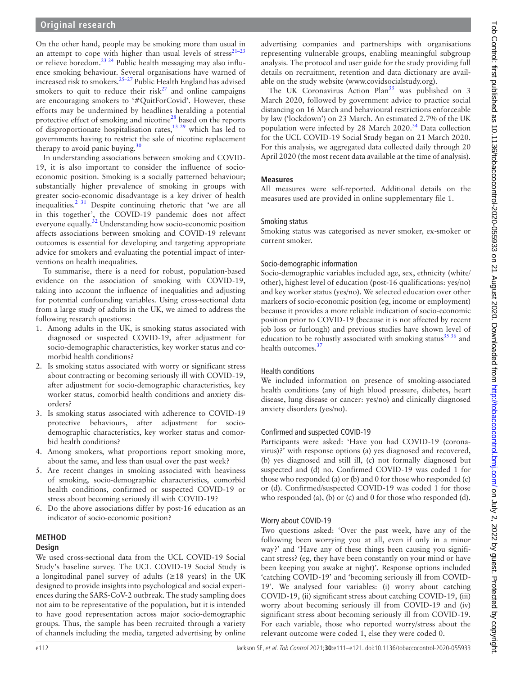On the other hand, people may be smoking more than usual in an attempt to cope with higher than usual levels of stress<sup>21-23</sup> or relieve boredom.<sup>23 24</sup> Public health messaging may also influence smoking behaviour. Several organisations have warned of increased risk to smokers.[25–27](#page-10-5) Public Health England has advised smokers to quit to reduce their risk $27$  and online campaigns are encouraging smokers to '#QuitForCovid'. However, these efforts may be undermined by headlines heralding a potential protective effect of smoking and nicotine<sup>[28](#page-10-7)</sup> based on the reports of disproportionate hospitalisation rates,  $1329$  which has led to governments having to restrict the sale of nicotine replacement therapy to avoid panic buying.<sup>[30](#page-10-8)</sup>

In understanding associations between smoking and COVID-19, it is also important to consider the influence of socioeconomic position. Smoking is a socially patterned behaviour; substantially higher prevalence of smoking in groups with greater socio-economic disadvantage is a key driver of health inequalities[.2 31](#page-9-10) Despite continuing rhetoric that 'we are all in this together', the COVID-19 pandemic does not affect everyone equally.<sup>32</sup> Understanding how socio-economic position affects associations between smoking and COVID-19 relevant outcomes is essential for developing and targeting appropriate advice for smokers and evaluating the potential impact of interventions on health inequalities.

To summarise, there is a need for robust, population-based evidence on the association of smoking with COVID-19, taking into account the influence of inequalities and adjusting for potential confounding variables. Using cross-sectional data from a large study of adults in the UK, we aimed to address the following research questions:

- 1. Among adults in the UK, is smoking status associated with diagnosed or suspected COVID-19, after adjustment for socio-demographic characteristics, key worker status and comorbid health conditions?
- 2. Is smoking status associated with worry or significant stress about contracting or becoming seriously ill with COVID-19, after adjustment for socio-demographic characteristics, key worker status, comorbid health conditions and anxiety disorders?
- 3. Is smoking status associated with adherence to COVID-19 protective behaviours, after adjustment for sociodemographic characteristics, key worker status and comorbid health conditions?
- 4. Among smokers, what proportions report smoking more, about the same, and less than usual over the past week?
- 5. Are recent changes in smoking associated with heaviness of smoking, socio-demographic characteristics, comorbid health conditions, confirmed or suspected COVID-19 or stress about becoming seriously ill with COVID-19?
- 6. Do the above associations differ by post-16 education as an indicator of socio-economic position?

# **METHOD**

# **Design**

We used cross-sectional data from the UCL COVID-19 Social Study's baseline survey. The UCL COVID-19 Social Study is a longitudinal panel survey of adults ( $\geq$ 18 years) in the UK designed to provide insights into psychological and social experiences during the SARS-CoV-2 outbreak. The study sampling does not aim to be representative of the population, but it is intended to have good representation across major socio-demographic groups. Thus, the sample has been recruited through a variety of channels including the media, targeted advertising by online advertising companies and partnerships with organisations representing vulnerable groups, enabling meaningful subgroup analysis. The protocol and user guide for the study providing full details on recruitment, retention and data dictionary are available on the study website [\(www.covidsocialstudy.org\)](www.covidsocialstudy.org.).

The UK Coronavirus Action Plan<sup>[33](#page-10-10)</sup> was published on 3 March 2020, followed by government advice to practice social distancing on 16 March and behavioural restrictions enforceable by law ('lockdown') on 23 March. An estimated 2.7% of the UK population were infected by 28 March  $2020.^{34}$  $2020.^{34}$  $2020.^{34}$  Data collection for the UCL COVID-19 Social Study began on 21 March 2020. For this analysis, we aggregated data collected daily through 20 April 2020 (the most recent data available at the time of analysis).

## **Measures**

All measures were self-reported. Additional details on the measures used are provided in [online supplementary file 1](https://dx.doi.org/10.1136/tobaccocontrol-2020-055933).

## Smoking status

Smoking status was categorised as never smoker, ex-smoker or current smoker.

## Socio-demographic information

Socio-demographic variables included age, sex, ethnicity (white/ other), highest level of education (post-16 qualifications: yes/no) and key worker status (yes/no). We selected education over other markers of socio-economic position (eg, income or employment) because it provides a more reliable indication of socio-economic position prior to COVID-19 (because it is not affected by recent job loss or furlough) and previous studies have shown level of education to be robustly associated with smoking status $3536$  and health outcomes.<sup>37</sup>

# Health conditions

We included information on presence of smoking-associated health conditions (any of high blood pressure, diabetes, heart disease, lung disease or cancer: yes/no) and clinically diagnosed anxiety disorders (yes/no).

# Confirmed and suspected COVID-19

Participants were asked: 'Have you had COVID-19 (coronavirus)?' with response options (a) yes diagnosed and recovered, (b) yes diagnosed and still ill, (c) not formally diagnosed but suspected and (d) no. Confirmed COVID-19 was coded 1 for those who responded (a) or (b) and 0 for those who responded (c) or (d). Confirmed/suspected COVID-19 was coded 1 for those who responded (a), (b) or (c) and 0 for those who responded (d).

# Worry about COVID-19

Two questions asked: 'Over the past week, have any of the following been worrying you at all, even if only in a minor way?' and 'Have any of these things been causing you significant stress? (eg, they have been constantly on your mind or have been keeping you awake at night)'. Response options included 'catching COVID-19' and 'becoming seriously ill from COVID-19'. We analysed four variables: (i) worry about catching COVID-19, (ii) significant stress about catching COVID-19, (iii) worry about becoming seriously ill from COVID-19 and (iv) significant stress about becoming seriously ill from COVID-19. For each variable, those who reported worry/stress about the relevant outcome were coded 1, else they were coded 0.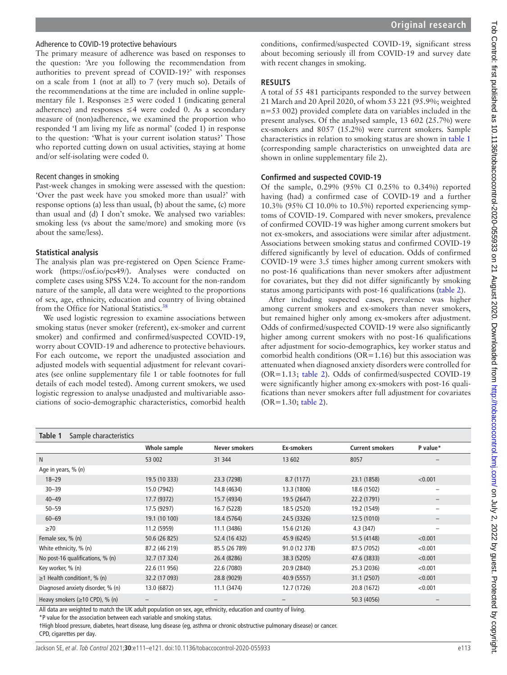#### Adherence to COVID-19 protective behaviours

The primary measure of adherence was based on responses to the question: 'Are you following the recommendation from authorities to prevent spread of COVID-19?' with responses on a scale from 1 (not at all) to 7 (very much so). Details of the recommendations at the time are included in [online supple](https://dx.doi.org/10.1136/tobaccocontrol-2020-055933)[mentary file 1.](https://dx.doi.org/10.1136/tobaccocontrol-2020-055933) Responses  $\geq$ 5 were coded 1 (indicating general adherence) and responses  $\leq 4$  were coded 0. As a secondary measure of (non)adherence, we examined the proportion who responded 'I am living my life as normal' (coded 1) in response to the question: 'What is your current isolation status?' Those who reported cutting down on usual activities, staying at home and/or self-isolating were coded 0.

#### Recent changes in smoking

Past-week changes in smoking were assessed with the question: 'Over the past week have you smoked more than usual?' with response options (a) less than usual, (b) about the same, (c) more than usual and (d) I don't smoke. We analysed two variables: smoking less (vs about the same/more) and smoking more (vs about the same/less).

#### **Statistical analysis**

The analysis plan was pre-registered on Open Science Framework [\(https://osf.io/pcs49/\)](https://osf.io/pcs49/). Analyses were conducted on complete cases using SPSS V.24. To account for the non-random nature of the sample, all data were weighted to the proportions of sex, age, ethnicity, education and country of living obtained from the Office for National Statistics.[38](#page-10-14)

We used logistic regression to examine associations between smoking status (never smoker (referent), ex-smoker and current smoker) and confirmed and confirmed/suspected COVID-19, worry about COVID-19 and adherence to protective behaviours. For each outcome, we report the unadjusted association and adjusted models with sequential adjustment for relevant covariates (see [online supplementary file 1](https://dx.doi.org/10.1136/tobaccocontrol-2020-055933) or table footnotes for full details of each model tested). Among current smokers, we used logistic regression to analyse unadjusted and multivariable associations of socio-demographic characteristics, comorbid health

conditions, confirmed/suspected COVID-19, significant stress about becoming seriously ill from COVID-19 and survey date with recent changes in smoking.

#### **RESULTS**

A total of 55 481 participants responded to the survey between 21 March and 20 April 2020, of whom 53 221 (95.9%; weighted n=53 002) provided complete data on variables included in the present analyses. Of the analysed sample, 13 602 (25.7%) were ex-smokers and 8057 (15.2%) were current smokers. Sample characteristics in relation to smoking status are shown in [table](#page-2-0) 1 (corresponding sample characteristics on unweighted data are shown in [online supplementary file 2\)](https://dx.doi.org/10.1136/tobaccocontrol-2020-055933).

#### **Confirmed and suspected COVID-19**

Of the sample, 0.29% (95% CI 0.25% to 0.34%) reported having (had) a confirmed case of COVID-19 and a further 10.3% (95% CI 10.0% to 10.5%) reported experiencing symptoms of COVID-19. Compared with never smokers, prevalence of confirmed COVID-19 was higher among current smokers but not ex-smokers, and associations were similar after adjustment. Associations between smoking status and confirmed COVID-19 differed significantly by level of education. Odds of confirmed COVID-19 were 3.5 times higher among current smokers with no post-16 qualifications than never smokers after adjustment for covariates, but they did not differ significantly by smoking status among participants with post-16 qualifications ([table](#page-3-0) 2).

After including suspected cases, prevalence was higher among current smokers and ex-smokers than never smokers, but remained higher only among ex-smokers after adjustment. Odds of confirmed/suspected COVID-19 were also significantly higher among current smokers with no post-16 qualifications after adjustment for socio-demographics, key worker status and comorbid health conditions (OR=1.16) but this association was attenuated when diagnosed anxiety disorders were controlled for (OR=1.13; [table](#page-3-0) 2). Odds of confirmed/suspected COVID-19 were significantly higher among ex-smokers with post-16 qualifications than never smokers after full adjustment for covariates (OR=1.30; [table](#page-3-0) 2).

<span id="page-2-0"></span>

| Table 1<br>Sample characteristics    |               |               |               |                        |                          |
|--------------------------------------|---------------|---------------|---------------|------------------------|--------------------------|
|                                      | Whole sample  | Never smokers | Ex-smokers    | <b>Current smokers</b> | P value*                 |
| N                                    | 53 002        | 31 344        | 13 602        | 8057                   |                          |
| Age in years, $\%$ (n)               |               |               |               |                        |                          |
| $18 - 29$                            | 19.5 (10 333) | 23.3 (7298)   | 8.7(1177)     | 23.1 (1858)            | < 0.001                  |
| $30 - 39$                            | 15.0 (7942)   | 14.8 (4634)   | 13.3 (1806)   | 18.6 (1502)            | -                        |
| $40 - 49$                            | 17.7 (9372)   | 15.7 (4934)   | 19.5 (2647)   | 22.2 (1791)            | $\qquad \qquad -$        |
| $50 - 59$                            | 17.5 (9297)   | 16.7 (5228)   | 18.5 (2520)   | 19.2 (1549)            | -                        |
| $60 - 69$                            | 19.1 (10 100) | 18.4 (5764)   | 24.5 (3326)   | 12.5(1010)             |                          |
| $\geq 70$                            | 11.2 (5959)   | 11.1 (3486)   | 15.6 (2126)   | 4.3(347)               | $\overline{\phantom{0}}$ |
| Female sex, % (n)                    | 50.6 (26 825) | 52.4 (16 432) | 45.9 (6245)   | 51.5 (4148)            | < 0.001                  |
| White ethnicity, % (n)               | 87.2 (46 219) | 85.5 (26 789) | 91.0 (12 378) | 87.5 (7052)            | < 0.001                  |
| No post-16 qualifications, % (n)     | 32.7 (17 324) | 26.4 (8286)   | 38.3 (5205)   | 47.6 (3833)            | < 0.001                  |
| Key worker, % (n)                    | 22.6 (11 956) | 22.6 (7080)   | 20.9 (2840)   | 25.3 (2036)            | < 0.001                  |
| $\geq$ 1 Health conditiont, % (n)    | 32.2 (17 093) | 28.8 (9029)   | 40.9 (5557)   | 31.1 (2507)            | < 0.001                  |
| Diagnosed anxiety disorder, % (n)    | 13.0 (6872)   | 11.1 (3474)   | 12.7 (1726)   | 20.8 (1672)            | < 0.001                  |
| Heavy smokers $(\geq 10$ CPD), % (n) | -             |               |               | 50.3 (4056)            |                          |

All data are weighted to match the UK adult population on sex, age, ethnicity, education and country of living.

\*P value for the association between each variable and smoking status.

†High blood pressure, diabetes, heart disease, lung disease (eg, asthma or chronic obstructive pulmonary disease) or cancer.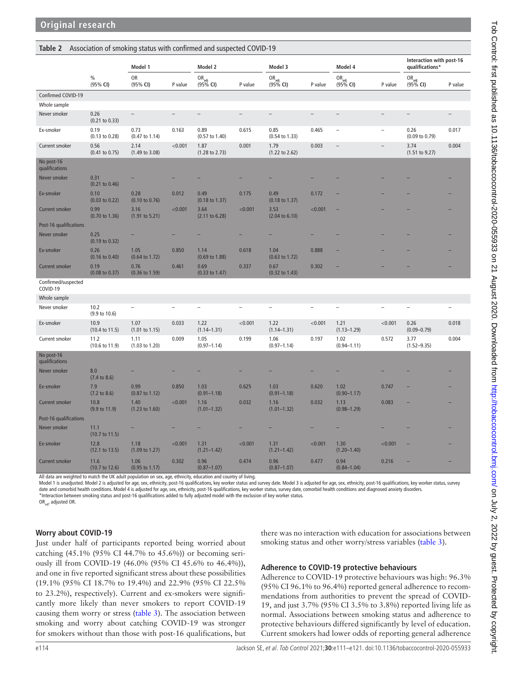<span id="page-3-0"></span>

|                                 |                                   | Model 1                           |         | Model 2<br>Model 3                   |         |                                      |         |                                      | Model 4                  |                                      | Interaction with post-16<br>qualifications* |  |
|---------------------------------|-----------------------------------|-----------------------------------|---------|--------------------------------------|---------|--------------------------------------|---------|--------------------------------------|--------------------------|--------------------------------------|---------------------------------------------|--|
|                                 | $\%$<br>(95% CI)                  | OR<br>(95% CI)                    | P value | OR <sub>adj</sub><br>(95% <b>CI)</b> | P value | OR <sub>adj</sub><br>(95% <b>CI)</b> | P value | OR <sub>adj</sub><br>(95% <b>CI)</b> | P value                  | OR <sub>adj</sub><br>(95% <b>CI)</b> | P value                                     |  |
| Confirmed COVID-19              |                                   |                                   |         |                                      |         |                                      |         |                                      |                          |                                      |                                             |  |
| Whole sample                    |                                   |                                   |         |                                      |         |                                      |         |                                      |                          |                                      |                                             |  |
| Never smoker                    | 0.26<br>$(0.21$ to $0.33)$        | $\qquad \qquad -$                 |         |                                      |         |                                      |         |                                      |                          |                                      | $\overline{a}$                              |  |
| Ex-smoker                       | 0.19<br>(0.13 to 0.28)            | 0.73<br>$(0.47 \text{ to } 1.14)$ | 0.163   | 0.89<br>$(0.57 \text{ to } 1.40)$    | 0.615   | 0.85<br>$(0.54 \text{ to } 1.33)$    | 0.465   |                                      | $\overline{\phantom{a}}$ | 0.26<br>$(0.09 \text{ to } 0.79)$    | 0.017                                       |  |
| Current smoker                  | 0.56<br>$(0.41 \text{ to } 0.75)$ | 2.14<br>$(1.49 \text{ to } 3.08)$ | < 0.001 | 1.87<br>$(1.28 \text{ to } 2.73)$    | 0.001   | 1.79<br>$(1.22 \text{ to } 2.62)$    | 0.003   | $\overline{\phantom{0}}$             | $\overline{a}$           | 3.74<br>(1.51 to 9.27)               | 0.004                                       |  |
| No post-16<br>qualifications    |                                   |                                   |         |                                      |         |                                      |         |                                      |                          |                                      |                                             |  |
| Never smoker                    | 0.31<br>$(0.21$ to $0.46)$        |                                   |         |                                      |         |                                      |         |                                      |                          |                                      |                                             |  |
| Ex-smoker                       | 0.10<br>$(0.03 \text{ to } 0.22)$ | 0.28<br>$(0.10 \text{ to } 0.76)$ | 0.012   | 0.49<br>$(0.18 \text{ to } 1.37)$    | 0.175   | 0.49<br>$(0.18 \text{ to } 1.37)$    | 0.172   |                                      |                          |                                      |                                             |  |
| <b>Current smoker</b>           | 0.99<br>$(0.70 \text{ to } 1.36)$ | 3.16<br>(1.91 to 5.21)            | < 0.001 | 3.64<br>$(2.11$ to $6.28)$           | < 0.001 | 3.53<br>$(2.04 \text{ to } 6.10)$    | < 0.001 |                                      |                          |                                      |                                             |  |
| Post-16 qualifications          |                                   |                                   |         |                                      |         |                                      |         |                                      |                          |                                      |                                             |  |
| Never smoker                    | 0.25<br>$(0.19 \text{ to } 0.32)$ |                                   |         |                                      |         |                                      |         |                                      |                          |                                      |                                             |  |
| Ex-smoker                       | 0.26<br>$(0.16 \text{ to } 0.40)$ | 1.05<br>$(0.64 \text{ to } 1.72)$ | 0.850   | 1.14<br>$(0.69 \text{ to } 1.88)$    | 0.618   | 1.04<br>$(0.63 \text{ to } 1.72)$    | 0.888   |                                      |                          |                                      |                                             |  |
| <b>Current smoker</b>           | 0.19<br>$(0.08 \text{ to } 0.37)$ | 0.76<br>$(0.36 \text{ to } 1.59)$ | 0.461   | 0.69<br>$(0.33 \text{ to } 1.47)$    | 0.337   | 0.67<br>$(0.32 \text{ to } 1.43)$    | 0.302   |                                      |                          |                                      |                                             |  |
| Confirmed/suspected<br>COVID-19 |                                   |                                   |         |                                      |         |                                      |         |                                      |                          |                                      |                                             |  |
| Whole sample                    |                                   |                                   |         |                                      |         |                                      |         |                                      |                          |                                      |                                             |  |
| Never smoker                    | 10.2<br>$(9.9 \text{ to } 10.6)$  |                                   |         |                                      |         |                                      |         |                                      |                          |                                      |                                             |  |
| Ex-smoker                       | 10.9<br>$(10.4 \text{ to } 11.5)$ | 1.07<br>$(1.01 \text{ to } 1.15)$ | 0.033   | 1.22<br>$(1.14 - 1.31)$              | < 0.001 | 1.22<br>$(1.14 - 1.31)$              | < 0.001 | 1.21<br>$(1.13 - 1.29)$              | < 0.001                  | 0.26<br>$(0.09 - 0.79)$              | 0.018                                       |  |
| Current smoker                  | 11.2<br>(10.6 to 11.9)            | 1.11<br>$(1.03 \text{ to } 1.20)$ | 0.009   | 1.05<br>$(0.97 - 1.14)$              | 0.199   | 1.06<br>$(0.97 - 1.14)$              | 0.197   | 1.02<br>$(0.94 - 1.11)$              | 0.572                    | 3.77<br>$(1.52 - 9.35)$              | 0.004                                       |  |
| No post-16<br>qualifications    |                                   |                                   |         |                                      |         |                                      |         |                                      |                          |                                      |                                             |  |
| Never smoker                    | 8.0<br>$(7.4 \text{ to } 8.6)$    |                                   |         |                                      |         |                                      |         |                                      |                          |                                      |                                             |  |
| Ex-smoker                       | 7.9<br>$(7.2 \text{ to } 8.6)$    | 0.99<br>$(0.87 \text{ to } 1.12)$ | 0.850   | 1.03<br>$(0.91 - 1.18)$              | 0.625   | 1.03<br>$(0.91 - 1.18)$              | 0.620   | 1.02<br>$(0.90 - 1.17)$              | 0.747                    |                                      |                                             |  |
| <b>Current smoker</b>           | 10.8<br>$(9.9 \text{ to } 11.9)$  | 1.40<br>$(1.23 \text{ to } 1.60)$ | < 0.001 | 1.16<br>$(1.01 - 1.32)$              | 0.032   | 1.16<br>$(1.01 - 1.32)$              | 0.032   | 1.13<br>$(0.98 - 1.29)$              | 0.083                    |                                      |                                             |  |
| Post-16 qualifications          |                                   |                                   |         |                                      |         |                                      |         |                                      |                          |                                      |                                             |  |
| Never smoker                    | 11.1<br>$(10.7 \text{ to } 11.5)$ |                                   |         |                                      |         |                                      |         |                                      |                          |                                      |                                             |  |
| Ex-smoker                       | 12.8<br>$(12.1 \text{ to } 13.5)$ | 1.18<br>$(1.09 \text{ to } 1.27)$ | < 0.001 | 1.31<br>$(1.21 - 1.42)$              | < 0.001 | 1.31<br>$(1.21 - 1.42)$              | < 0.001 | 1.30<br>$(1.20 - 1.40)$              | < 0.001                  |                                      |                                             |  |
| <b>Current smoker</b>           | 11.6<br>$(10.7 \text{ to } 12.6)$ | 1.06<br>$(0.95 \text{ to } 1.17)$ | 0.302   | 0.96<br>$(0.87 - 1.07)$              | 0.474   | 0.96<br>$(0.87 - 1.07)$              | 0.477   | 0.94<br>$(0.84 - 1.04)$              | 0.216                    |                                      |                                             |  |

All data are weighted to match the UK adult population on sex, age, ethnicity, education and country of living.

Model 1 is unadjusted. Model 2 is adjusted for age, sex, ethnicity, post-16 qualifications, key worker status and survey date. Model 3 is adjusted for age, sex, ethnicity, post-16 qualifications, key worker status, survey date and comorbid health conditions. Model 4 is adjusted for age, sex, ethnicity, post-16 qualifications, key worker status, survey date, comorbid health conditions and diagnosed anxiety disorders.<br>\*Interaction between smo

OR<sub>adi</sub>, adjusted OR.

#### **Worry about COVID-19**

Just under half of participants reported being worried about catching (45.1% (95% CI 44.7% to 45.6%)) or becoming seriously ill from COVID-19 (46.0% (95% CI 45.6% to 46.4%)), and one in five reported significant stress about these possibilities (19.1% (95% CI 18.7% to 19.4%) and 22.9% (95% CI 22.5% to 23.2%), respectively). Current and ex-smokers were significantly more likely than never smokers to report COVID-19 causing them worry or stress [\(table](#page-4-0) 3). The association between smoking and worry about catching COVID-19 was stronger for smokers without than those with post-16 qualifications, but there was no interaction with education for associations between smoking status and other worry/stress variables ([table](#page-4-0) 3).

#### **Adherence to COVID-19 protective behaviours**

Adherence to COVID-19 protective behaviours was high: 96.3% (95% CI 96.1% to 96.4%) reported general adherence to recommendations from authorities to prevent the spread of COVID-19, and just 3.7% (95% CI 3.5% to 3.8%) reported living life as normal. Associations between smoking status and adherence to protective behaviours differed significantly by level of education. Current smokers had lower odds of reporting general adherence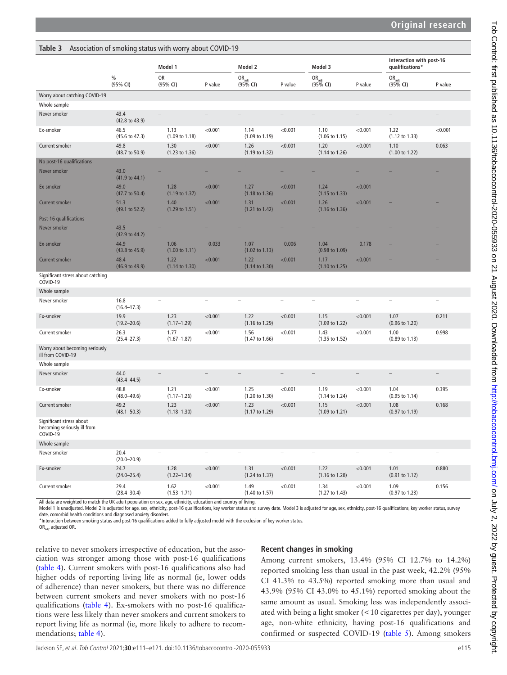<span id="page-4-0"></span>

|  | Table 3 Association of smoking status with worry about COVID-19 |  |
|--|-----------------------------------------------------------------|--|
|--|-----------------------------------------------------------------|--|

|                                                                     |                                   | Model 1                           |         | Model 2                              |         | Model 3                              |         | Interaction with post-16<br>qualifications* |         |
|---------------------------------------------------------------------|-----------------------------------|-----------------------------------|---------|--------------------------------------|---------|--------------------------------------|---------|---------------------------------------------|---------|
|                                                                     | $\frac{0}{0}$<br>(95% CI)         | OR<br>(95% CI)                    | P value | OR <sub>adj</sub><br>(95% <b>CI)</b> | P value | OR <sub>adj</sub><br>(95% <b>CI)</b> | P value | OR <sub>adj</sub><br>(95% <b>CI)</b>        | P value |
| Worry about catching COVID-19                                       |                                   |                                   |         |                                      |         |                                      |         |                                             |         |
| Whole sample                                                        |                                   |                                   |         |                                      |         |                                      |         |                                             |         |
| Never smoker                                                        | 43.4<br>(42.8 to 43.9)            |                                   |         |                                      |         |                                      |         |                                             |         |
| Ex-smoker                                                           | 46.5<br>(45.6 to 47.3)            | 1.13<br>$(1.09 \text{ to } 1.18)$ | < 0.001 | 1.14<br>(1.09 to 1.19)               | < 0.001 | 1.10<br>$(1.06 \text{ to } 1.15)$    | < 0.001 | 1.22<br>(1.12 to 1.33)                      | < 0.001 |
| Current smoker                                                      | 49.8<br>(48.7 to 50.9)            | 1.30<br>$(1.23 \text{ to } 1.36)$ | < 0.001 | 1.26<br>$(1.19 \text{ to } 1.32)$    | < 0.001 | 1.20<br>(1.14 to 1.26)               | < 0.001 | 1.10<br>(1.00 to 1.22)                      | 0.063   |
| No post-16 qualifications                                           |                                   |                                   |         |                                      |         |                                      |         |                                             |         |
| Never smoker                                                        | 43.0<br>$(41.9 \text{ to } 44.1)$ |                                   |         |                                      |         |                                      |         |                                             |         |
| Ex-smoker                                                           | 49.0<br>(47.7 to 50.4)            | 1.28<br>$(1.19 \text{ to } 1.37)$ | < 0.001 | 1.27<br>$(1.18 \text{ to } 1.36)$    | < 0.001 | 1.24<br>$(1.15 \text{ to } 1.33)$    | < 0.001 |                                             |         |
| <b>Current smoker</b>                                               | 51.3<br>(49.1 to 52.2)            | 1.40<br>$(1.29 \text{ to } 1.51)$ | < 0.001 | 1.31<br>$(1.21 \text{ to } 1.42)$    | < 0.001 | 1.26<br>$(1.16 \text{ to } 1.36)$    | < 0.001 |                                             |         |
| Post-16 qualifications                                              |                                   |                                   |         |                                      |         |                                      |         |                                             |         |
| Never smoker                                                        | 43.5<br>$(42.9 \text{ to } 44.2)$ |                                   |         |                                      |         |                                      |         |                                             |         |
| Ex-smoker                                                           | 44.9<br>$(43.8 \text{ to } 45.9)$ | 1.06<br>$(1.00 \text{ to } 1.11)$ | 0.033   | 1.07<br>$(1.02 \text{ to } 1.13)$    | 0.006   | 1.04<br>$(0.98 \text{ to } 1.09)$    | 0.178   |                                             |         |
| <b>Current smoker</b>                                               | 48.4<br>(46.9 to 49.9)            | 1.22<br>$(1.14 \text{ to } 1.30)$ | < 0.001 | 1.22<br>$(1.14 \text{ to } 1.30)$    | < 0.001 | 1.17<br>(1.10 to 1.25)               | < 0.001 |                                             |         |
| Significant stress about catching<br>COVID-19                       |                                   |                                   |         |                                      |         |                                      |         |                                             |         |
| Whole sample                                                        |                                   |                                   |         |                                      |         |                                      |         |                                             |         |
| Never smoker                                                        | 16.8<br>$(16.4 - 17.3)$           |                                   |         |                                      |         |                                      |         |                                             |         |
| Ex-smoker                                                           | 19.9<br>$(19.2 - 20.6)$           | 1.23<br>$(1.17 - 1.29)$           | < 0.001 | 1.22<br>$(1.16 \text{ to } 1.29)$    | < 0.001 | 1.15<br>$(1.09 \text{ to } 1.22)$    | < 0.001 | 1.07<br>$(0.96 \text{ to } 1.20)$           | 0.211   |
| Current smoker                                                      | 26.3<br>$(25.4 - 27.3)$           | 1.77<br>$(1.67 - 1.87)$           | < 0.001 | 1.56<br>$(1.47 \text{ to } 1.66)$    | < 0.001 | 1.43<br>$(1.35 \text{ to } 1.52)$    | < 0.001 | 1.00<br>$(0.89 \text{ to } 1.13)$           | 0.998   |
| Worry about becoming seriously<br>ill from COVID-19                 |                                   |                                   |         |                                      |         |                                      |         |                                             |         |
| Whole sample                                                        |                                   |                                   |         |                                      |         |                                      |         |                                             |         |
| Never smoker                                                        | 44.0<br>$(43.4 - 44.5)$           |                                   |         |                                      |         |                                      |         |                                             |         |
| Ex-smoker                                                           | 48.8<br>$(48.0 - 49.6)$           | 1.21<br>$(1.17 - 1.26)$           | < 0.001 | 1.25<br>(1.20 to 1.30)               | < 0.001 | 1.19<br>$(1.14 \text{ to } 1.24)$    | < 0.001 | 1.04<br>$(0.95 \text{ to } 1.14)$           | 0.395   |
| Current smoker                                                      | 49.2<br>$(48.1 - 50.3)$           | 1.23<br>$(1.18 - 1.30)$           | < 0.001 | 1.23<br>(1.17 to 1.29)               | < 0.001 | 1.15<br>$(1.09 \text{ to } 1.21)$    | < 0.001 | 1.08<br>(0.97 to 1.19)                      | 0.168   |
| Significant stress about<br>becoming seriously ill from<br>COVID-19 |                                   |                                   |         |                                      |         |                                      |         |                                             |         |
| Whole sample                                                        |                                   |                                   |         |                                      |         |                                      |         |                                             |         |
| Never smoker                                                        | 20.4<br>$(20.0 - 20.9)$           |                                   |         |                                      |         |                                      |         |                                             |         |
| Ex-smoker                                                           | 24.7<br>$(24.0 - 25.4)$           | 1.28<br>$(1.22 - 1.34)$           | < 0.001 | 1.31<br>$(1.24 \text{ to } 1.37)$    | < 0.001 | 1.22<br>$(1.16 \text{ to } 1.28)$    | < 0.001 | 1.01<br>$(0.91$ to $1.12)$                  | 0.880   |
| Current smoker                                                      | 29.4<br>$(28.4 - 30.4)$           | 1.62<br>$(1.53 - 1.71)$           | < 0.001 | 1.49<br>$(1.40 \text{ to } 1.57)$    | < 0.001 | 1.34<br>$(1.27 \text{ to } 1.43)$    | < 0.001 | 1.09<br>$(0.97$ to $1.23)$                  | 0.156   |

All data are weighted to match the UK adult population on sex, age, ethnicity, education and country of living.

Model 1 is unadjusted. Model 2 is adjusted for age, sex, ethnicity, post-16 qualifications, key worker status and survey date. Model 3 is adjusted for age, sex, ethnicity, post-16 qualifications, key worker status, survey date, comorbid health conditions and diagnosed anxiety disorders.

\*Interaction between smoking status and post-16 qualifications added to fully adjusted model with the exclusion of key worker status.

ORadj, adjusted OR.

relative to never smokers irrespective of education, but the association was stronger among those with post-16 qualifications ([table](#page-5-0) 4). Current smokers with post-16 qualifications also had higher odds of reporting living life as normal (ie, lower odds of adherence) than never smokers, but there was no difference between current smokers and never smokers with no post-16 qualifications [\(table](#page-5-0) 4). Ex-smokers with no post-16 qualifications were less likely than never smokers and current smokers to report living life as normal (ie, more likely to adhere to recommendations; [table](#page-5-0) 4).

#### **Recent changes in smoking**

Among current smokers, 13.4% (95% CI 12.7% to 14.2%) reported smoking less than usual in the past week, 42.2% (95% CI 41.3% to 43.5%) reported smoking more than usual and 43.9% (95% CI 43.0% to 45.1%) reported smoking about the same amount as usual. Smoking less was independently associated with being a light smoker (<10 cigarettes per day), younger age, non-white ethnicity, having post-16 qualifications and confirmed or suspected COVID-19 [\(table](#page-6-0) 5). Among smokers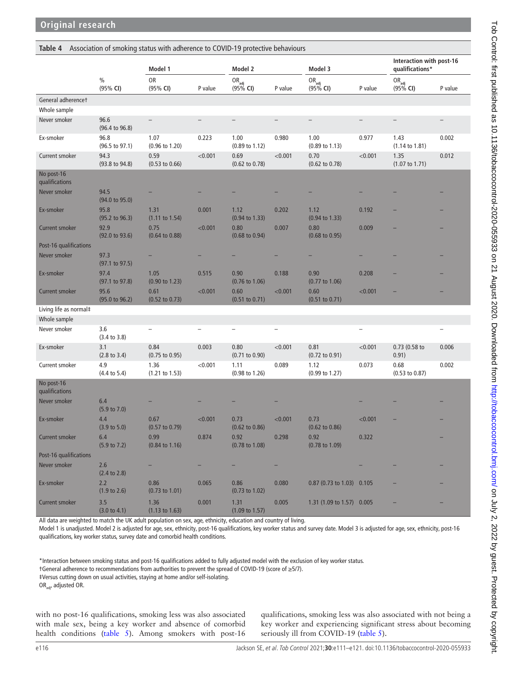#### <span id="page-5-0"></span>**Table 4** Association of smoking status with adherence to COVID-19 protective behaviours

|                                        |                                   | Model 1                           |         | Model 2                           |                   | Model 3                           |         | Interaction with post-16<br>qualifications* |         |  |
|----------------------------------------|-----------------------------------|-----------------------------------|---------|-----------------------------------|-------------------|-----------------------------------|---------|---------------------------------------------|---------|--|
|                                        | $\frac{0}{0}$<br>(95% CI)         | <b>OR</b><br>(95% CI)             | P value | $OR_{\text{adj}}$<br>$(95\%$ CI)  | P value           | $OR_{\text{adj}}$<br>$(95\%$ CI)  | P value | $OR_{\text{adj}}$<br>$(95%$ CI)             | P value |  |
| General adherencet                     |                                   |                                   |         |                                   |                   |                                   |         |                                             |         |  |
| Whole sample                           |                                   |                                   |         |                                   |                   |                                   |         |                                             |         |  |
| Never smoker                           | 96.6<br>$(96.4 \text{ to } 96.8)$ | $\qquad \qquad -$                 |         |                                   |                   | $\qquad \qquad -$                 |         |                                             |         |  |
| Ex-smoker                              | 96.8<br>$(96.5 \text{ to } 97.1)$ | 1.07<br>$(0.96 \text{ to } 1.20)$ | 0.223   | 1.00<br>(0.89 to 1.12)            | 0.980             | 1.00<br>$(0.89 \text{ to } 1.13)$ | 0.977   | 1.43<br>$(1.14 \text{ to } 1.81)$           | 0.002   |  |
| Current smoker                         | 94.3<br>(93.8 to 94.8)            | 0.59<br>$(0.53 \text{ to } 0.66)$ | < 0.001 | 0.69<br>$(0.62 \text{ to } 0.78)$ | < 0.001           | 0.70<br>$(0.62 \text{ to } 0.78)$ | < 0.001 | 1.35<br>$(1.07 \text{ to } 1.71)$           | 0.012   |  |
| No post-16<br>qualifications           |                                   |                                   |         |                                   |                   |                                   |         |                                             |         |  |
| Never smoker                           | 94.5<br>$(94.0 \text{ to } 95.0)$ |                                   |         |                                   |                   |                                   |         |                                             |         |  |
| Ex-smoker                              | 95.8<br>$(95.2 \text{ to } 96.3)$ | 1.31<br>$(1.11$ to $1.54)$        | 0.001   | 1.12<br>$(0.94 \text{ to } 1.33)$ | 0.202             | 1.12<br>$(0.94 \text{ to } 1.33)$ | 0.192   |                                             |         |  |
| <b>Current smoker</b>                  | 92.9<br>$(92.0 \text{ to } 93.6)$ | 0.75<br>$(0.64 \text{ to } 0.88)$ | < 0.001 | 0.80<br>$(0.68 \text{ to } 0.94)$ | 0.007             | 0.80<br>$(0.68 \text{ to } 0.95)$ | 0.009   |                                             |         |  |
| Post-16 qualifications                 |                                   |                                   |         |                                   |                   |                                   |         |                                             |         |  |
| Never smoker                           | 97.3<br>(97.1 to 97.5)            |                                   |         |                                   |                   |                                   |         |                                             |         |  |
| Ex-smoker                              | 97.4<br>$(97.1 \text{ to } 97.8)$ | 1.05<br>$(0.90 \text{ to } 1.23)$ | 0.515   | 0.90<br>$(0.76 \text{ to } 1.06)$ | 0.188             | 0.90<br>$(0.77 \text{ to } 1.06)$ | 0.208   |                                             |         |  |
| <b>Current smoker</b>                  | 95.6<br>(95.0 to 96.2)            | 0.61<br>$(0.52 \text{ to } 0.73)$ | < 0.001 | 0.60<br>$(0.51$ to $0.71)$        | < 0.001           | 0.60<br>$(0.51$ to $0.71)$        | < 0.001 |                                             |         |  |
| Living life as normal#<br>Whole sample |                                   |                                   |         |                                   |                   |                                   |         |                                             |         |  |
| Never smoker                           | 3.6<br>(3.4 to 3.8)               |                                   |         |                                   | $\qquad \qquad -$ |                                   |         |                                             |         |  |
| Ex-smoker                              | 3.1<br>$(2.8 \text{ to } 3.4)$    | 0.84<br>$(0.75 \text{ to } 0.95)$ | 0.003   | 0.80<br>$(0.71 \text{ to } 0.90)$ | < 0.001           | 0.81<br>$(0.72 \text{ to } 0.91)$ | < 0.001 | 0.73 (0.58 to<br>0.91)                      | 0.006   |  |
| Current smoker                         | 4.9<br>$(4.4 \text{ to } 5.4)$    | 1.36<br>$(1.21 \text{ to } 1.53)$ | < 0.001 | 1.11<br>$(0.98 \text{ to } 1.26)$ | 0.089             | 1.12<br>(0.99 to 1.27)            | 0.073   | 0.68<br>$(0.53 \text{ to } 0.87)$           | 0.002   |  |
| No post-16<br>qualifications           |                                   |                                   |         |                                   |                   |                                   |         |                                             |         |  |
| Never smoker                           | 6.4<br>$(5.9 \text{ to } 7.0)$    |                                   |         |                                   |                   |                                   |         |                                             |         |  |
| Ex-smoker                              | 4.4<br>$(3.9 \text{ to } 5.0)$    | 0.67<br>$(0.57 \text{ to } 0.79)$ | < 0.001 | 0.73<br>$(0.62 \text{ to } 0.86)$ | < 0.001           | 0.73<br>$(0.62 \text{ to } 0.86)$ | < 0.001 |                                             |         |  |
| Current smoker                         | 6.4<br>$(5.9 \text{ to } 7.2)$    | 0.99<br>$(0.84 \text{ to } 1.16)$ | 0.874   | 0.92<br>$(0.78 \text{ to } 1.08)$ | 0.298             | 0.92<br>$(0.78 \text{ to } 1.09)$ | 0.322   |                                             |         |  |
| Post-16 qualifications                 |                                   |                                   |         |                                   |                   |                                   |         |                                             |         |  |
| Never smoker                           | 2.6<br>(2.4 to 2.8)               |                                   |         |                                   |                   |                                   |         |                                             |         |  |
| Ex-smoker                              | 2.2<br>(1.9 to 2.6)               | 0.86<br>$(0.73 \text{ to } 1.01)$ | 0.065   | 0.86<br>$(0.73 \text{ to } 1.02)$ | 0.080             | 0.87 (0.73 to 1.03) 0.105         |         |                                             |         |  |
| Current smoker                         | 3.5<br>(3.0 to 4.1)               | 1.36<br>$(1.13 \text{ to } 1.63)$ | 0.001   | 1.31<br>$(1.09 \text{ to } 1.57)$ | 0.005             | 1.31 (1.09 to 1.57) 0.005         |         |                                             |         |  |

All data are weighted to match the UK adult population on sex, age, ethnicity, education and country of living.

Model 1 is unadjusted. Model 2 is adjusted for age, sex, ethnicity, post-16 qualifications, key worker status and survey date. Model 3 is adjusted for age, sex, ethnicity, post-16 qualifications, key worker status, survey date and comorbid health conditions.

\*Interaction between smoking status and post-16 qualifications added to fully adjusted model with the exclusion of key worker status.

†General adherence to recommendations from authorities to prevent the spread of COVID-19 (score of ≥5/7).

‡Versus cutting down on usual activities, staying at home and/or self-isolating.

OR<sub>adi</sub>, adjusted OR.

with no post-16 qualifications, smoking less was also associated with male sex, being a key worker and absence of comorbid health conditions ([table](#page-6-0) 5). Among smokers with post-16 qualifications, smoking less was also associated with not being a key worker and experiencing significant stress about becoming seriously ill from COVID-19 [\(table](#page-6-0) 5).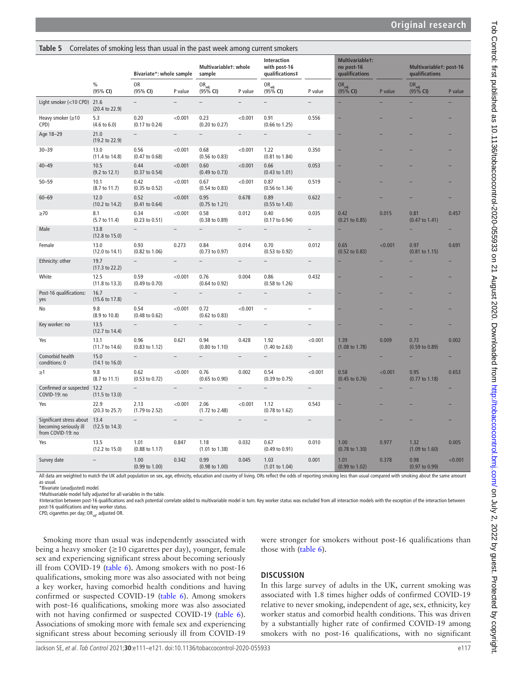| ranie p                                                                                 | Correlates of shoking less than usual in the past week among current shokers |                                   |                          |                                      |                          |                                                                                                                                                            |                          |                                                 |                                          |                                           |         |
|-----------------------------------------------------------------------------------------|------------------------------------------------------------------------------|-----------------------------------|--------------------------|--------------------------------------|--------------------------|------------------------------------------------------------------------------------------------------------------------------------------------------------|--------------------------|-------------------------------------------------|------------------------------------------|-------------------------------------------|---------|
|                                                                                         |                                                                              | Bivariate*: whole sample          |                          | Multivariablet: whole<br>sample      |                          | Interaction<br>with post-16<br>qualifications‡                                                                                                             |                          | Multivariablet:<br>no post-16<br>qualifications |                                          | Multivariablet: post-16<br>qualifications |         |
|                                                                                         | $\%$<br>(95% CI)                                                             | OR<br>(95% CI)                    | P value                  | OR <sub>adj</sub><br>(95% <b>CI)</b> | P value                  | OR <sub>adj</sub><br>(95% <b>CI)</b>                                                                                                                       | P value                  | OR <sub>adj</sub><br>(95% <b>CI)</b>            | P value                                  | OR <sub>adj</sub><br>(95% <b>CI)</b>      | P value |
| Light smoker (<10 CPD) 21.6                                                             | (20.4 to 22.9)                                                               |                                   | L.                       | ÷                                    |                          | ÷                                                                                                                                                          |                          |                                                 |                                          |                                           |         |
| Heavy smoker (≥10<br>CPD)                                                               | 5.3<br>$(4.6 \text{ to } 6.0)$                                               | 0.20<br>(0.17 to 0.24)            | < 0.001                  | 0.23<br>$(0.20 \text{ to } 0.27)$    | < 0.001                  | 0.91<br>$(0.66 \text{ to } 1.25)$                                                                                                                          | 0.556                    |                                                 |                                          |                                           |         |
| Age 18-29                                                                               | 21.0<br>(19.2 to 22.9)                                                       |                                   | $\overline{\phantom{0}}$ | $\overline{\phantom{a}}$             | $\overline{\phantom{a}}$ | $\overline{\phantom{a}}$                                                                                                                                   | $\overline{\phantom{a}}$ |                                                 |                                          |                                           |         |
| $30 - 39$                                                                               | 13.0<br>$(11.4 \text{ to } 14.8)$                                            | 0.56<br>$(0.47 \text{ to } 0.68)$ | < 0.001                  | 0.68<br>$(0.56 \text{ to } 0.83)$    | < 0.001                  | 1.22<br>$(0.81$ to $1.84)$                                                                                                                                 | 0.350                    |                                                 |                                          |                                           |         |
| $40 - 49$                                                                               | 10.5<br>$(9.2 \text{ to } 12.1)$                                             | 0.44<br>$(0.37 \text{ to } 0.54)$ | < 0.001                  | 0.60<br>$(0.49 \text{ to } 0.73)$    | < 0.001                  | 0.66<br>$(0.43 \text{ to } 1.01)$                                                                                                                          | 0.053                    |                                                 |                                          |                                           |         |
| $50 - 59$                                                                               | 10.1<br>$(8.7 \text{ to } 11.7)$                                             | 0.42<br>$(0.35 \text{ to } 0.52)$ | < 0.001                  | 0.67<br>$(0.54 \text{ to } 0.83)$    | < 0.001                  | 0.87<br>$(0.56 \text{ to } 1.34)$                                                                                                                          | 0.519                    |                                                 |                                          |                                           |         |
| $60 - 69$                                                                               | 12.0<br>$(10.2 \text{ to } 14.2)$                                            | 0.52<br>$(0.41 \text{ to } 0.64)$ | < 0.001                  | 0.95<br>$(0.75 \text{ to } 1.21)$    | 0.678                    | 0.89<br>$(0.55 \text{ to } 1.43)$                                                                                                                          | 0.622                    |                                                 |                                          |                                           |         |
| $\geq 70$                                                                               | 8.1<br>$(5.7 \text{ to } 11.4)$                                              | 0.34<br>$(0.23 \text{ to } 0.51)$ | < 0.001                  | 0.58<br>$(0.38 \text{ to } 0.89)$    | 0.012                    | 0.40<br>(0.17 to 0.94)                                                                                                                                     | 0.035                    | 0.42<br>$(0.21$ to $0.85)$                      | 0.015                                    | 0.81<br>$(0.47 \text{ to } 1.41)$         | 0.457   |
| Male                                                                                    | 13.8<br>(12.8 to 15.0)                                                       | $\qquad \qquad -$                 | $\qquad \qquad -$        | $\overline{\phantom{a}}$             | $\overline{\phantom{a}}$ | $\overline{\phantom{0}}$                                                                                                                                   | $-$                      |                                                 |                                          |                                           |         |
| Female                                                                                  | 13.0<br>(12.0 to 14.1)                                                       | 0.93<br>$(0.82 \text{ to } 1.06)$ | 0.273                    | 0.84<br>$(0.73 \text{ to } 0.97)$    | 0.014                    | 0.70<br>$(0.53 \text{ to } 0.92)$                                                                                                                          | 0.012                    | 0.65<br>$(0.52 \text{ to } 0.83)$               | < 0.001                                  | 0.97<br>$(0.81$ to $1.15)$                | 0.691   |
| Ethnicity: other                                                                        | 19.7<br>$(17.3 \text{ to } 22.2)$                                            |                                   |                          | $\overline{\phantom{0}}$             | $\overline{\phantom{0}}$ | $\overline{\phantom{0}}$                                                                                                                                   |                          |                                                 |                                          |                                           |         |
| White                                                                                   | 12.5<br>(11.8 to 13.3)                                                       | 0.59<br>(0.49 to 0.70)            | < 0.001                  | 0.76<br>$(0.64 \text{ to } 0.92)$    | 0.004                    | 0.86<br>$(0.58 \text{ to } 1.26)$                                                                                                                          | 0.432                    |                                                 |                                          |                                           |         |
| Post-16 qualifications:<br>yes                                                          | 16.7<br>$(15.6 \text{ to } 17.8)$                                            |                                   | $\overline{a}$           | $\overline{\phantom{0}}$             | $\overline{\phantom{0}}$ | $\overline{\phantom{a}}$                                                                                                                                   | $\overline{a}$           |                                                 |                                          |                                           |         |
| No                                                                                      | 9.8<br>(8.9 to 10.8)                                                         | 0.54<br>$(0.48 \text{ to } 0.62)$ | < 0.001                  | 0.72<br>$(0.62 \text{ to } 0.83)$    | < 0.001                  | $\overline{\phantom{a}}$                                                                                                                                   | $\overline{\phantom{a}}$ |                                                 |                                          |                                           |         |
| Key worker: no                                                                          | 13.5<br>(12.7 to 14.4)                                                       |                                   | ÷                        | $\overline{\phantom{0}}$             |                          |                                                                                                                                                            | $\overline{a}$           |                                                 |                                          |                                           |         |
| Yes                                                                                     | 13.1<br>$(11.7 \text{ to } 14.6)$                                            | 0.96<br>$(0.83 \text{ to } 1.12)$ | 0.621                    | 0.94<br>$(0.80 \text{ to } 1.10)$    | 0.428                    | 1.92<br>$(1.40 \text{ to } 2.63)$                                                                                                                          | < 0.001                  | 1.39<br>$(1.08 \text{ to } 1.78)$               | 0.009                                    | 0.73<br>$(0.59 \text{ to } 0.89)$         | 0.002   |
| Comorbid health<br>conditions: 0                                                        | 15.0<br>$(14.1 \text{ to } 16.0)$                                            |                                   | $\overline{\phantom{a}}$ |                                      |                          |                                                                                                                                                            |                          |                                                 |                                          |                                           |         |
| ≥1                                                                                      | 9.8<br>$(8.7 \text{ to } 11.1)$                                              | 0.62<br>$(0.53$ to $0.72)$        | < 0.001                  | 0.76<br>$(0.65 \text{ to } 0.90)$    | 0.002                    | 0.54<br>$(0.39 \text{ to } 0.75)$                                                                                                                          | < 0.001                  | 0.58<br>$(0.45 \text{ to } 0.76)$               | < 0.001                                  | 0.95<br>(0.77 to 1.18)                    | 0.653   |
| Confirmed or suspected 12.2<br>COVID-19: no                                             | (11.5 to 13.0)                                                               |                                   | $\overline{a}$           |                                      | $\overline{\phantom{0}}$ |                                                                                                                                                            | $\overline{\phantom{a}}$ |                                                 |                                          |                                           |         |
| Yes                                                                                     | 22.9<br>(20.3 to 25.7)                                                       | 2.13<br>$(1.79 \text{ to } 2.52)$ | < 0.001                  | 2.06<br>$(1.72 \text{ to } 2.48)$    | < 0.001                  | 1.12<br>$(0.78 \text{ to } 1.62)$                                                                                                                          | 0.543                    |                                                 |                                          |                                           |         |
| Significant stress about 13.4<br>becoming seriously ill<br>from COVID-19: no            | $(12.5 \text{ to } 14.3)$                                                    |                                   |                          |                                      | L.                       |                                                                                                                                                            | $\overline{\phantom{0}}$ |                                                 |                                          |                                           |         |
| Yes                                                                                     | 13.5<br>$(12.2 \text{ to } 15.0)$                                            | 1.01<br>$(0.88 \text{ to } 1.17)$ | 0.847                    | 1.18<br>$(1.01 \text{ to } 1.38)$    | 0.032                    | 0.67<br>$(0.49 \text{ to } 0.91)$                                                                                                                          | 0.010                    | 1.00<br>(0.78 to 1.30)                          | 0.977                                    | 1.32<br>$(1.09 \text{ to } 1.60)$         | 0.005   |
| Survey date<br>ويعتقوا بتجمعه فانتاجه كالليم والمفارسين وفالموقولة تحبب وبرم وفعام الكا |                                                                              | 1.00<br>$(0.99 \text{ to } 1.00)$ | 0.342                    | 0.99<br>$(0.98 \text{ to } 1.00)$    | 0.045                    | 1.03<br>$(1.01 \text{ to } 1.04)$<br>ويمطه وممارستان الممسور مستغيم وممراقي والرامم المطه فمماكمها وهوار المستنبذ الكمر بمقوديهم المسما ويمتعدون المتحاشية | 0.001                    | 1.01<br>(0.99 to 1.02)                          | 0.378<br>المراسمة بالمسم والهقيب الممسمو | 0.98<br>$(0.97 \text{ to } 0.99)$         | < 0.001 |

All data are weighted to match the UK adult population on sex, age, ethnicity, education and country of living. ORs reflect the odds of reporting smoking less than usual compared with smoking about the same amount

as usual.

\*Bivariate (unadjusted) model.

†Multivariable model fully adjusted for all variables in the table.

‡Interaction between post-16 qualifications and each potential correlate added to multivariable model in turn. Key worker status was excluded from all interaction models with the exception of the interaction between post-16 qualifications and key worker status.

CPD, cigarettes per day; OR<sub>adi</sub>, adjusted OR.

Smoking more than usual was independently associated with being a heavy smoker ( $\geq$ 10 cigarettes per day), younger, female sex and experiencing significant stress about becoming seriously ill from COVID-19 [\(table](#page-7-0) 6). Among smokers with no post-16 qualifications, smoking more was also associated with not being a key worker, having comorbid health conditions and having confirmed or suspected COVID-19 ([table](#page-7-0) 6). Among smokers with post-16 qualifications, smoking more was also associated with not having confirmed or suspected COVID-19 ([table](#page-7-0) 6). Associations of smoking more with female sex and experiencing significant stress about becoming seriously ill from COVID-19

<span id="page-6-0"></span>**Table 5** Correlates of smoking less than usual in the past week among current smokers

#### were stronger for smokers without post-16 qualifications than those with [\(table](#page-7-0) 6).

# **DISCUSSION**

In this large survey of adults in the UK, current smoking was associated with 1.8 times higher odds of confirmed COVID-19 relative to never smoking, independent of age, sex, ethnicity, key worker status and comorbid health conditions. This was driven by a substantially higher rate of confirmed COVID-19 among smokers with no post-16 qualifications, with no significant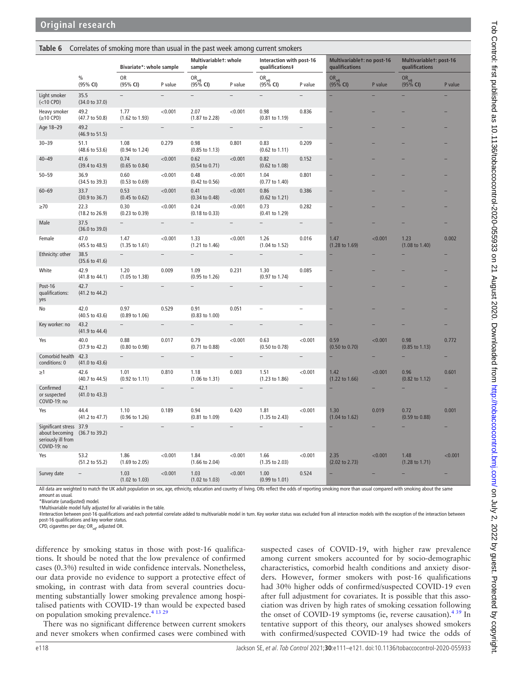<span id="page-7-0"></span>**Table 6** Correlates of smoking more than usual in the past week among current smokers

|                                                                                 |                                   | Bivariate*: whole sample          |                          | Multivariablet: whole<br>sample      |                          | Interaction with post-16<br>qualifications‡ |                          | Multivariablet: no post-16<br>qualifications |         | Multivariablet: post-16<br>qualifications |         |
|---------------------------------------------------------------------------------|-----------------------------------|-----------------------------------|--------------------------|--------------------------------------|--------------------------|---------------------------------------------|--------------------------|----------------------------------------------|---------|-------------------------------------------|---------|
|                                                                                 | $\frac{0}{0}$<br>(95% CI)         | <b>OR</b><br>(95% CI)             | P value                  | OR <sub>adj</sub><br>(95% <b>CI)</b> | P value                  | OR <sub>adj</sub><br>(95% <b>CI)</b>        | P value                  | OR <sub>adj</sub><br>(95% <b>CI)</b>         | P value | OR <sub>adj</sub><br>(95% <b>CI)</b>      | P value |
| Light smoker<br>$(<10$ CPD)                                                     | 35.5<br>(34.0 to 37.0)            | ÷                                 |                          | $\overline{a}$                       |                          | $\overline{a}$                              |                          | ۰                                            |         |                                           |         |
| Heavy smoker<br>$(\geq 10$ CPD)                                                 | 49.2<br>(47.7 to 50.8)            | 1.77<br>$(1.62 \text{ to } 1.93)$ | < 0.001                  | 2.07<br>$(1.87 \text{ to } 2.28)$    | < 0.001                  | 0.98<br>$(0.81 \text{ to } 1.19)$           | 0.836                    |                                              |         |                                           |         |
| Age 18-29                                                                       | 49.2<br>$(46.9 \text{ to } 51.5)$ | $\overline{a}$                    | $\qquad \qquad -$        | $\overline{\phantom{0}}$             | $\overline{a}$           | $\overline{a}$                              | $\overline{a}$           |                                              |         |                                           |         |
| $30 - 39$                                                                       | 51.1<br>$(48.6 \text{ to } 53.6)$ | 1.08<br>$(0.94 \text{ to } 1.24)$ | 0.279                    | 0.98<br>$(0.85 \text{ to } 1.13)$    | 0.801                    | 0.83<br>$(0.62 \text{ to } 1.11)$           | 0.209                    |                                              |         |                                           |         |
| $40 - 49$                                                                       | 41.6<br>$(39.4 \text{ to } 43.9)$ | 0.74<br>$(0.65 \text{ to } 0.84)$ | < 0.001                  | 0.62<br>$(0.54 \text{ to } 0.71)$    | < 0.001                  | 0.82<br>$(0.62 \text{ to } 1.08)$           | 0.152                    |                                              |         |                                           |         |
| $50 - 59$                                                                       | 36.9<br>(34.5 to 39.3)            | 0.60<br>$(0.53 \text{ to } 0.69)$ | < 0.001                  | 0.48<br>$(0.42 \text{ to } 0.56)$    | < 0.001                  | 1.04<br>$(0.77$ to $1.40)$                  | 0.801                    |                                              |         |                                           |         |
| $60 - 69$                                                                       | 33.7<br>$(30.9 \text{ to } 36.7)$ | 0.53<br>$(0.45 \text{ to } 0.62)$ | < 0.001                  | 0.41<br>$(0.34 \text{ to } 0.48)$    | < 0.001                  | 0.86<br>$(0.62 \text{ to } 1.21)$           | 0.386                    |                                              |         |                                           |         |
| $\geq 70$                                                                       | 22.3<br>$(18.2 \text{ to } 26.9)$ | 0.30<br>$(0.23$ to $0.39)$        | < 0.001                  | 0.24<br>$(0.18 \text{ to } 0.33)$    | < 0.001                  | 0.73<br>$(0.41 \text{ to } 1.29)$           | 0.282                    |                                              |         |                                           |         |
| Male                                                                            | 37.5<br>(36.0 to 39.0)            | $\overline{a}$                    |                          | $\overline{a}$                       |                          | $\overline{a}$                              | $\overline{a}$           |                                              |         |                                           |         |
| Female                                                                          | 47.0<br>$(45.5 \text{ to } 48.5)$ | 1.47<br>$(1.35 \text{ to } 1.61)$ | < 0.001                  | 1.33<br>(1.21 to 1.46)               | < 0.001                  | 1.26<br>$(1.04 \text{ to } 1.52)$           | 0.016                    | 1.47<br>$(1.28 \text{ to } 1.69)$            | < 0.001 | 1.23<br>$(1.08 \text{ to } 1.40)$         | 0.002   |
| Ethnicity: other                                                                | 38.5<br>$(35.6 \text{ to } 41.6)$ | $\overline{a}$                    | $\overline{\phantom{0}}$ | $\equiv$                             | $\equiv$                 | $\overline{\phantom{a}}$                    | $\overline{\phantom{a}}$ | ÷                                            |         |                                           |         |
| White                                                                           | 42.9<br>$(41.8 \text{ to } 44.1)$ | 1.20<br>$(1.05 \text{ to } 1.38)$ | 0.009                    | 1.09<br>(0.95 to 1.26)               | 0.231                    | 1.30<br>$(0.97$ to $1.74)$                  | 0.085                    |                                              |         |                                           |         |
| Post-16<br>qualifications:<br>yes                                               | 42.7<br>$(41.2 \text{ to } 44.2)$ | ÷                                 |                          |                                      | $\overline{\phantom{0}}$ |                                             | $\overline{\phantom{a}}$ |                                              |         |                                           |         |
| No                                                                              | 42.0<br>$(40.5 \text{ to } 43.6)$ | 0.97<br>$(0.89 \text{ to } 1.06)$ | 0.529                    | 0.91<br>$(0.83 \text{ to } 1.00)$    | 0.051                    |                                             |                          |                                              |         |                                           |         |
| Key worker: no                                                                  | 43.2<br>(41.9 to 44.4)            |                                   | $\overline{\phantom{a}}$ |                                      | $\overline{\phantom{a}}$ |                                             |                          |                                              |         |                                           |         |
| Yes                                                                             | 40.0<br>$(37.9 \text{ to } 42.2)$ | 0.88<br>(0.80 to 0.98)            | 0.017                    | 0.79<br>(0.71 to 0.88)               | < 0.001                  | 0.63<br>(0.50 to 0.78)                      | < 0.001                  | 0.59<br>$(0.50 \text{ to } 0.70)$            | < 0.001 | 0.98<br>$(0.85 \text{ to } 1.13)$         | 0.772   |
| Comorbid health<br>conditions: 0                                                | 42.3<br>(41.0 to 43.6)            |                                   |                          |                                      |                          |                                             |                          | ÷                                            |         |                                           |         |
| $\geq$ 1                                                                        | 42.6<br>(40.7 to 44.5)            | 1.01<br>$(0.92 \text{ to } 1.11)$ | 0.810                    | 1.18<br>$(1.06 \text{ to } 1.31)$    | 0.003                    | 1.51<br>$(1.23 \text{ to } 1.86)$           | < 0.001                  | 1.42<br>$(1.22 \text{ to } 1.66)$            | < 0.001 | 0.96<br>$(0.82 \text{ to } 1.12)$         | 0.601   |
| Confirmed<br>or suspected<br>COVID-19: no                                       | 42.1<br>(41.0 to 43.3)            |                                   | $\overline{\phantom{0}}$ |                                      |                          |                                             |                          |                                              |         |                                           |         |
| Yes                                                                             | 44.4<br>(41.2 to 47.7)            | 1.10<br>$(0.96 \text{ to } 1.26)$ | 0.189                    | 0.94<br>$(0.81 \text{ to } 1.09)$    | 0.420                    | 1.81<br>$(1.35$ to 2.43)                    | < 0.001                  | 1.30<br>$(1.04 \text{ to } 1.62)$            | 0.019   | 0.72<br>$(0.59 \text{ to } 0.88)$         | 0.001   |
| Significant stress 37.9<br>about becoming<br>seriously ill from<br>COVID-19: no | (36.7 to 39.2)                    | $\overline{\phantom{0}}$          | $\overline{\phantom{m}}$ | $\overline{a}$                       | $\overline{a}$           | $\overline{a}$                              |                          | ۳                                            |         |                                           |         |
| Yes                                                                             | 53.2<br>(51.2 to 55.2)            | 1.86<br>$(1.69 \text{ to } 2.05)$ | < 0.001                  | 1.84<br>$(1.66 \text{ to } 2.04)$    | < 0.001                  | 1.66<br>(1.35 to 2.03)                      | < 0.001                  | 2.35<br>$(2.02 \text{ to } 2.73)$            | < 0.001 | 1.48<br>$(1.28 \text{ to } 1.71)$         | < 0.001 |
| Survey date                                                                     |                                   | 1.03<br>$(1.02 \text{ to } 1.03)$ | < 0.001                  | 1.03<br>$(1.02 \text{ to } 1.03)$    | < 0.001                  | 1.00<br>$(0.99 \text{ to } 1.01)$           | 0.524                    | ÷                                            |         |                                           |         |

All data are weighted to match the UK adult population on sex, age, ethnicity, education and country of living. ORs reflect the odds of reporting smoking more than usual compared with smoking about the same amount as usual.

\*Bivariate (unadjusted) model.

†Multivariable model fully adjusted for all variables in the table.

‡Interaction between post-16 qualifications and each potential correlate added to multivariable model in turn. Key worker status was excluded from all interaction models with the exception of the interaction between post-16 qualifications and key worker status.

CPD, cigarettes per day; OR<sub>adi</sub>, adjusted OR.

difference by smoking status in those with post-16 qualifications. It should be noted that the low prevalence of confirmed cases (0.3%) resulted in wide confidence intervals. Nonetheless, our data provide no evidence to support a protective effect of smoking, in contrast with data from several countries documenting substantially lower smoking prevalence among hospitalised patients with COVID-19 than would be expected based on population smoking prevalence.<sup>[4 13 29](#page-9-7)</sup>

There was no significant difference between current smokers and never smokers when confirmed cases were combined with

suspected cases of COVID-19, with higher raw prevalence among current smokers accounted for by socio-demographic characteristics, comorbid health conditions and anxiety disorders. However, former smokers with post-16 qualifications had 30% higher odds of confirmed/suspected COVID-19 even after full adjustment for covariates. It is possible that this association was driven by high rates of smoking cessation following the onset of COVID-19 symptoms (ie, reverse causation). $439$  In tentative support of this theory, our analyses showed smokers with confirmed/suspected COVID-19 had twice the odds of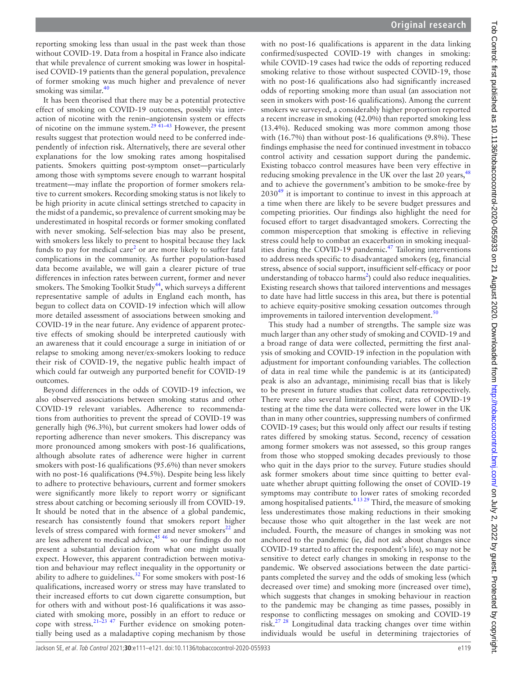reporting smoking less than usual in the past week than those without COVID-19. Data from a hospital in France also indicate that while prevalence of current smoking was lower in hospitalised COVID-19 patients than the general population, prevalence of former smoking was much higher and prevalence of never smoking was similar. $40$ 

It has been theorised that there may be a potential protective effect of smoking on COVID-19 outcomes, possibly via interaction of nicotine with the renin–angiotensin system or effects of nicotine on the immune system.<sup>29</sup> <sup>41–43</sup> However, the present results suggest that protection would need to be conferred independently of infection risk. Alternatively, there are several other explanations for the low smoking rates among hospitalised patients. Smokers quitting post-symptom onset—particularly among those with symptoms severe enough to warrant hospital treatment—may inflate the proportion of former smokers relative to current smokers. Recording smoking status is not likely to be high priority in acute clinical settings stretched to capacity in the midst of a pandemic, so prevalence of current smoking may be underestimated in hospital records or former smoking conflated with never smoking. Self-selection bias may also be present, with smokers less likely to present to hospital because they lack funds to pay for medical care<sup>[2](#page-9-10)</sup> or are more likely to suffer fatal complications in the community. As further population-based data become available, we will gain a clearer picture of true differences in infection rates between current, former and never smokers. The Smoking Toolkit Study<sup>[44](#page-10-17)</sup>, which surveys a different representative sample of adults in England each month, has begun to collect data on COVID-19 infection which will allow more detailed assessment of associations between smoking and COVID-19 in the near future. Any evidence of apparent protective effects of smoking should be interpreted cautiously with an awareness that it could encourage a surge in initiation of or relapse to smoking among never/ex-smokers looking to reduce their risk of COVID-19, the negative public health impact of which could far outweigh any purported benefit for COVID-19 outcomes.

Beyond differences in the odds of COVID-19 infection, we also observed associations between smoking status and other COVID-19 relevant variables. Adherence to recommendations from authorities to prevent the spread of COVID-19 was generally high (96.3%), but current smokers had lower odds of reporting adherence than never smokers. This discrepancy was more pronounced among smokers with post-16 qualifications, although absolute rates of adherence were higher in current smokers with post-16 qualifications (95.6%) than never smokers with no post-16 qualifications (94.5%). Despite being less likely to adhere to protective behaviours, current and former smokers were significantly more likely to report worry or significant stress about catching or becoming seriously ill from COVID-19. It should be noted that in the absence of a global pandemic, research has consistently found that smokers report higher levels of stress compared with former and never smokers $22$  and are less adherent to medical advice, $45\frac{46}{15}$  so our findings do not present a substantial deviation from what one might usually expect. However, this apparent contradiction between motivation and behaviour may reflect inequality in the opportunity or ability to adhere to guidelines. $32$  For some smokers with post-16 qualifications, increased worry or stress may have translated to their increased efforts to cut down cigarette consumption, but for others with and without post-16 qualifications it was associated with smoking more, possibly in an effort to reduce or cope with stress. $21-23$  47 Further evidence on smoking potentially being used as a maladaptive coping mechanism by those

with no post-16 qualifications is apparent in the data linking confirmed/suspected COVID-19 with changes in smoking: while COVID-19 cases had twice the odds of reporting reduced smoking relative to those without suspected COVID-19, those with no post-16 qualifications also had significantly increased odds of reporting smoking more than usual (an association not seen in smokers with post-16 qualifications). Among the current smokers we surveyed, a considerably higher proportion reported a recent increase in smoking (42.0%) than reported smoking less (13.4%). Reduced smoking was more common among those with (16.7%) than without post-16 qualifications (9.8%). These findings emphasise the need for continued investment in tobacco control activity and cessation support during the pandemic. Existing tobacco control measures have been very effective in reducing smoking prevalence in the UK over the last 20 years, <sup>[48](#page-10-20)</sup> and to achieve the government's ambition to be smoke-free by  $2030<sup>49</sup>$  $2030<sup>49</sup>$  $2030<sup>49</sup>$  it is important to continue to invest in this approach at a time when there are likely to be severe budget pressures and competing priorities. Our findings also highlight the need for focused effort to target disadvantaged smokers. Correcting the common misperception that smoking is effective in relieving stress could help to combat an exacerbation in smoking inequalities during the COVID-19 pandemic. $47$  Tailoring interventions to address needs specific to disadvantaged smokers (eg, financial stress, absence of social support, insufficient self-efficacy or poor understanding of tobacco harms<sup>[2](#page-9-10)</sup>) could also reduce inequalities. Existing research shows that tailored interventions and messages to date have had little success in this area, but there is potential to achieve equity-positive smoking cessation outcomes through improvements in tailored intervention development.<sup>[50](#page-10-23)</sup>

This study had a number of strengths. The sample size was much larger than any other study of smoking and COVID-19 and a broad range of data were collected, permitting the first analysis of smoking and COVID-19 infection in the population with adjustment for important confounding variables. The collection of data in real time while the pandemic is at its (anticipated) peak is also an advantage, minimising recall bias that is likely to be present in future studies that collect data retrospectively. There were also several limitations. First, rates of COVID-19 testing at the time the data were collected were lower in the UK than in many other countries, suppressing numbers of confirmed COVID-19 cases; but this would only affect our results if testing rates differed by smoking status. Second, recency of cessation among former smokers was not assessed, so this group ranges from those who stopped smoking decades previously to those who quit in the days prior to the survey. Future studies should ask former smokers about time since quitting to better evaluate whether abrupt quitting following the onset of COVID-19 symptoms may contribute to lower rates of smoking recorded among hospitalised patients.<sup>4 13 29</sup> Third, the measure of smoking less underestimates those making reductions in their smoking because those who quit altogether in the last week are not included. Fourth, the measure of changes in smoking was not anchored to the pandemic (ie, did not ask about changes since COVID-19 started to affect the respondent's life), so may not be sensitive to detect early changes in smoking in response to the pandemic. We observed associations between the date participants completed the survey and the odds of smoking less (which decreased over time) and smoking more (increased over time), which suggests that changes in smoking behaviour in reaction to the pandemic may be changing as time passes, possibly in response to conflicting messages on smoking and COVID-19 risk[.27 28](#page-10-6) Longitudinal data tracking changes over time within individuals would be useful in determining trajectories of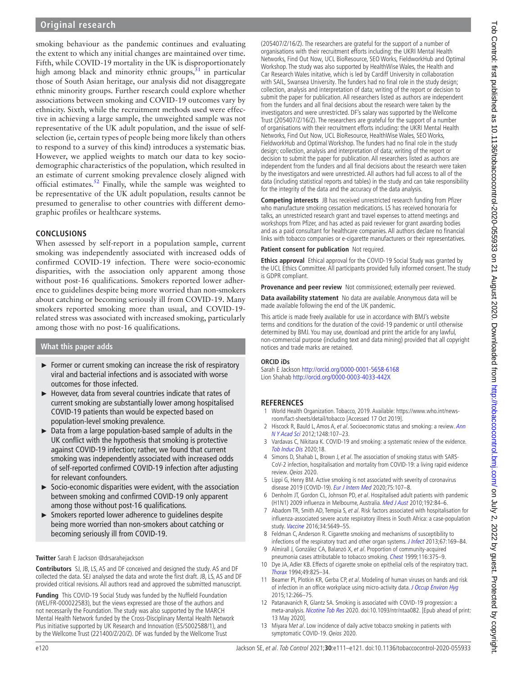smoking behaviour as the pandemic continues and evaluating the extent to which any initial changes are maintained over time. Fifth, while COVID-19 mortality in the UK is disproportionately high among black and minority ethnic groups, $51$  in particular those of South Asian heritage, our analysis did not disaggregate ethnic minority groups. Further research could explore whether associations between smoking and COVID-19 outcomes vary by ethnicity. Sixth, while the recruitment methods used were effective in achieving a large sample, the unweighted sample was not representative of the UK adult population, and the issue of selfselection (ie, certain types of people being more likely than others to respond to a survey of this kind) introduces a systematic bias. However, we applied weights to match our data to key sociodemographic characteristics of the population, which resulted in an estimate of current smoking prevalence closely aligned with official estimates[.52](#page-10-25) Finally, while the sample was weighted to be representative of the UK adult population, results cannot be presumed to generalise to other countries with different demographic profiles or healthcare systems.

## **CONCLUSIONS**

When assessed by self-report in a population sample, current smoking was independently associated with increased odds of confirmed COVID-19 infection. There were socio-economic disparities, with the association only apparent among those without post-16 qualifications. Smokers reported lower adherence to guidelines despite being more worried than non-smokers about catching or becoming seriously ill from COVID-19. Many smokers reported smoking more than usual, and COVID-19 related stress was associated with increased smoking, particularly among those with no post-16 qualifications.

#### **What this paper adds**

- ► Former or current smoking can increase the risk of respiratory viral and bacterial infections and is associated with worse outcomes for those infected.
- ► However, data from several countries indicate that rates of current smoking are substantially lower among hospitalised COVID-19 patients than would be expected based on population-level smoking prevalence.
- ► Data from a large population-based sample of adults in the UK conflict with the hypothesis that smoking is protective against COVID-19 infection; rather, we found that current smoking was independently associated with increased odds of self-reported confirmed COVID-19 infection after adjusting for relevant confounders.
- ► Socio-economic disparities were evident, with the association between smoking and confirmed COVID-19 only apparent among those without post-16 qualifications.
- ► Smokers reported lower adherence to guidelines despite being more worried than non-smokers about catching or becoming seriously ill from COVID-19.

#### **Twitter** Sarah E Jackson [@drsarahejackson](https://twitter.com/drsarahejackson)

**Contributors** SJ, JB, LS, AS and DF conceived and designed the study. AS and DF collected the data. SEJ analysed the data and wrote the first draft. JB, LS, AS and DF provided critical revisions. All authors read and approved the submitted manuscript.

**Funding** This COVID-19 Social Study was funded by the Nuffield Foundation (WEL/FR-000022583), but the views expressed are those of the authors and not necessarily the Foundation. The study was also supported by the MARCH Mental Health Network funded by the Cross-Disciplinary Mental Health Network Plus initiative supported by UK Research and Innovation (ES/S002588/1), and by the Wellcome Trust (221400/Z/20/Z). DF was funded by the Wellcome Trust

(205407/Z/16/Z). The researchers are grateful for the support of a number of organisations with their recruitment efforts including: the UKRI Mental Health Networks, Find Out Now, UCL BioResource, SEO Works, FieldworkHub and Optimal Workshop. The study was also supported by HealthWise Wales, the Health and Car Research Wales initative, which is led by Cardiff University in collaboration with SAIL, Swansea University. The funders had no final role in the study design; collection, analysis and interpretation of data; writing of the report or decision to submit the paper for publication. All researchers listed as authors are independent from the funders and all final decisions about the research were taken by the investigators and were unrestricted. DF's salary was supported by the Wellcome Trust (205407/Z/16/Z). The researchers are grateful for the support of a number of organisations with their recruitment efforts including: the UKRI Mental Health Networks, Find Out Now, UCL BioResource, HealthWise Wales, SEO Works, FieldworkHub and Optimal Workshop. The funders had no final role in the study design; collection, analysis and interpretation of data; writing of the report or decision to submit the paper for publication. All researchers listed as authors are independent from the funders and all final decisions about the research were taken by the investigators and were unrestricted. All authors had full access to all of the data (including statistical reports and tables) in the study and can take responsibility for the integrity of the data and the accuracy of the data analysis.

**Competing interests** JB has received unrestricted research funding from Pfizer who manufacture smoking cessation medications. LS has received honoraria for talks, an unrestricted research grant and travel expenses to attend meetings and workshops from Pfizer, and has acted as paid reviewer for grant awarding bodies and as a paid consultant for healthcare companies. All authors declare no financial links with tobacco companies or e-cigarette manufacturers or their representatives.

#### **Patient consent for publication** Not required.

**Ethics approval** Ethical approval for the COVID-19 Social Study was granted by the UCL Ethics Committee. All participants provided fully informed consent. The study is GDPR compliant.

**Provenance and peer review** Not commissioned; externally peer reviewed.

**Data availability statement** No data are available. Anonymous data will be made available following the end of the UK pandemic.

This article is made freely available for use in accordance with BMJ's website terms and conditions for the duration of the covid-19 pandemic or until otherwise determined by BMJ. You may use, download and print the article for any lawful, non-commercial purpose (including text and data mining) provided that all copyright notices and trade marks are retained.

#### **ORCID iDs**

Sarah E Jackson <http://orcid.org/0000-0001-5658-6168> Lion Shahab<http://orcid.org/0000-0003-4033-442X>

#### **REFERENCES**

- <span id="page-9-0"></span>1 World Health Organization. Tobacco, 2019. Available: [https://www.who.int/news](https://www.who.int/news-room/fact-sheets/detail/tobacco)[room/fact-sheets/detail/tobacco](https://www.who.int/news-room/fact-sheets/detail/tobacco) [Accessed 17 Oct 2019].
- <span id="page-9-10"></span>2 Hiscock R, Bauld L, Amos A, et al. Socioeconomic status and smoking: a review. Ann [N Y Acad Sci](http://dx.doi.org/10.1111/j.1749-6632.2011.06202.x) 2012;1248:107–23.
- <span id="page-9-1"></span>3 Vardavas C, Nikitara K. COVID-19 and smoking: a systematic review of the evidence. [Tob Induc Dis](http://dx.doi.org/10.18332/tid/119324) 2020;18.
- <span id="page-9-7"></span>4 Simons D, Shahab L, Brown J, et al. The association of smoking status with SARS-CoV-2 infection, hospitalisation and mortality from COVID-19: a living rapid evidence review. Qeios 2020.
- <span id="page-9-6"></span>5 Lippi G, Henry BM. Active smoking is not associated with severity of coronavirus disease 2019 (COVID-19). [Eur J Intern Med](http://dx.doi.org/10.1016/j.ejim.2020.03.014) 2020;75:107–8.
- <span id="page-9-2"></span>6 Denholm JT, Gordon CL, Johnson PD, et al. Hospitalised adult patients with pandemic (H1N1) 2009 influenza in Melbourne, Australia. [Med J Aust](http://dx.doi.org/10.5694/j.1326-5377.2010.tb03424.x) 2010;192:84–6.
- 7 Abadom TR, Smith AD, Tempia S, et al. Risk factors associated with hospitalisation for influenza-associated severe acute respiratory illness in South Africa: a case-population study. [Vaccine](http://dx.doi.org/10.1016/j.vaccine.2016.09.011) 2016;34:5649–55.
- <span id="page-9-3"></span>8 Feldman C, Anderson R. Cigarette smoking and mechanisms of susceptibility to infections of the respiratory tract and other organ systems. [J Infect](http://dx.doi.org/10.1016/j.jinf.2013.05.004) 2013;67:169-84.
- 9 Almirall J, González CA, Balanzó X, et al. Proportion of community-acquired pneumonia cases attributable to tobacco smoking. [Chest](http://dx.doi.org/10.1378/chest.116.2.375) 1999;116:375-9.
- <span id="page-9-4"></span>10 Dye JA, Adler KB. Effects of cigarette smoke on epithelial cells of the respiratory tract. [Thorax](http://dx.doi.org/10.1136/thx.49.8.825) 1994;49:825–34.
- <span id="page-9-5"></span>11 Beamer PI, Plotkin KR, Gerba CP, et al. Modeling of human viruses on hands and risk of infection in an office workplace using micro-activity data. [J Occup Environ Hyg](http://dx.doi.org/10.1080/15459624.2014.974808) 2015;12:266–75.
- <span id="page-9-8"></span>12 Patanavanich R, Glantz SA. Smoking is associated with COVID-19 progression: a meta-analysis. [Nicotine Tob Res](http://dx.doi.org/10.1093/ntr/ntaa082) 2020. doi:10.1093/ntr/ntaa082. [Epub ahead of print: 13 May 2020].
- <span id="page-9-9"></span>13 Miyara Met al. Low incidence of daily active tobacco smoking in patients with symptomatic COVID-19. Qeios 2020.